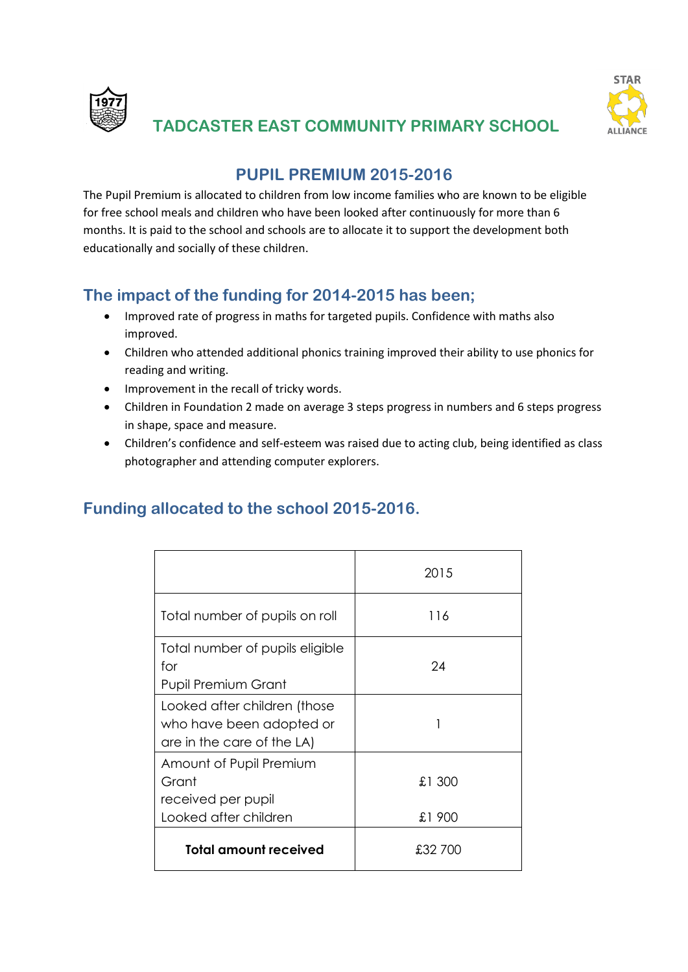



# **TADCASTER EAST COMMUNITY PRIMARY SCHOOL**

## **PUPIL PREMIUM 2015-2016**

The Pupil Premium is allocated to children from low income families who are known to be eligible for free school meals and children who have been looked after continuously for more than 6 months. It is paid to the school and schools are to allocate it to support the development both educationally and socially of these children.

# **The impact of the funding for 2014-2015 has been;**

- Improved rate of progress in maths for targeted pupils. Confidence with maths also improved.
- Children who attended additional phonics training improved their ability to use phonics for reading and writing.
- Improvement in the recall of tricky words.
- Children in Foundation 2 made on average 3 steps progress in numbers and 6 steps progress in shape, space and measure.
- Children's confidence and self-esteem was raised due to acting club, being identified as class photographer and attending computer explorers.

#### **Funding allocated to the school 2015-2016.**

|                                                                                        | 2015              |
|----------------------------------------------------------------------------------------|-------------------|
| Total number of pupils on roll                                                         | 116               |
| Total number of pupils eligible<br>for<br><b>Pupil Premium Grant</b>                   | 24                |
| Looked after children (those<br>who have been adopted or<br>are in the care of the LA) |                   |
| Amount of Pupil Premium<br>Grant<br>received per pupil<br>Looked after children        | £1 300            |
| <b>Total amount received</b>                                                           | £1 900<br>£32 700 |